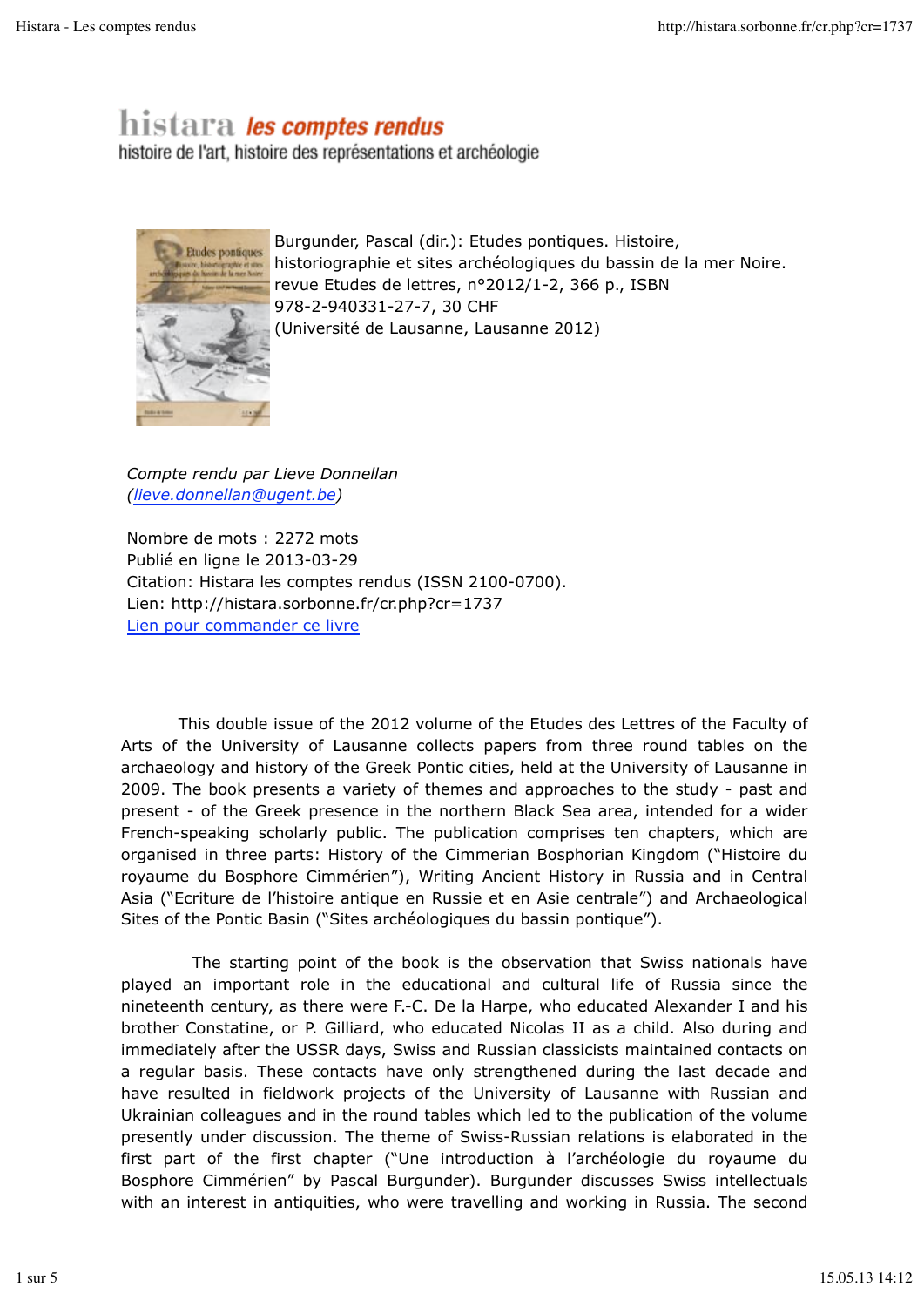# histara *les comptes rendus*

histoire de l'art, histoire des représentations et archéologie



Burgunder, Pascal (dir.): Etudes pontiques. Histoire, historiographie et sites archéologiques du bassin de la mer Noire. revue Etudes de lettres, n°2012/1-2, 366 p., ISBN 978-2-940331-27-7, 30 CHF (Université de Lausanne, Lausanne 2012)

*Compte rendu par Lieve Donnellan (lieve.donnellan@ugent.be)*

Nombre de mots : 2272 mots Publié en ligne le 2013-03-29 Citation: Histara les comptes rendus (ISSN 2100-0700). Lien: http://histara.sorbonne.fr/cr.php?cr=1737 Lien pour commander ce livre

 This double issue of the 2012 volume of the Etudes des Lettres of the Faculty of Arts of the University of Lausanne collects papers from three round tables on the archaeology and history of the Greek Pontic cities, held at the University of Lausanne in 2009. The book presents a variety of themes and approaches to the study - past and present - of the Greek presence in the northern Black Sea area, intended for a wider French-speaking scholarly public. The publication comprises ten chapters, which are organised in three parts: History of the Cimmerian Bosphorian Kingdom ("Histoire du royaume du Bosphore Cimmérien"), Writing Ancient History in Russia and in Central Asia ("Ecriture de l'histoire antique en Russie et en Asie centrale") and Archaeological Sites of the Pontic Basin ("Sites archéologiques du bassin pontique").

 The starting point of the book is the observation that Swiss nationals have played an important role in the educational and cultural life of Russia since the nineteenth century, as there were F.-C. De la Harpe, who educated Alexander I and his brother Constatine, or P. Gilliard, who educated Nicolas II as a child. Also during and immediately after the USSR days, Swiss and Russian classicists maintained contacts on a regular basis. These contacts have only strengthened during the last decade and have resulted in fieldwork projects of the University of Lausanne with Russian and Ukrainian colleagues and in the round tables which led to the publication of the volume presently under discussion. The theme of Swiss-Russian relations is elaborated in the first part of the first chapter ("Une introduction à l'archéologie du royaume du Bosphore Cimmérien" by Pascal Burgunder). Burgunder discusses Swiss intellectuals with an interest in antiquities, who were travelling and working in Russia. The second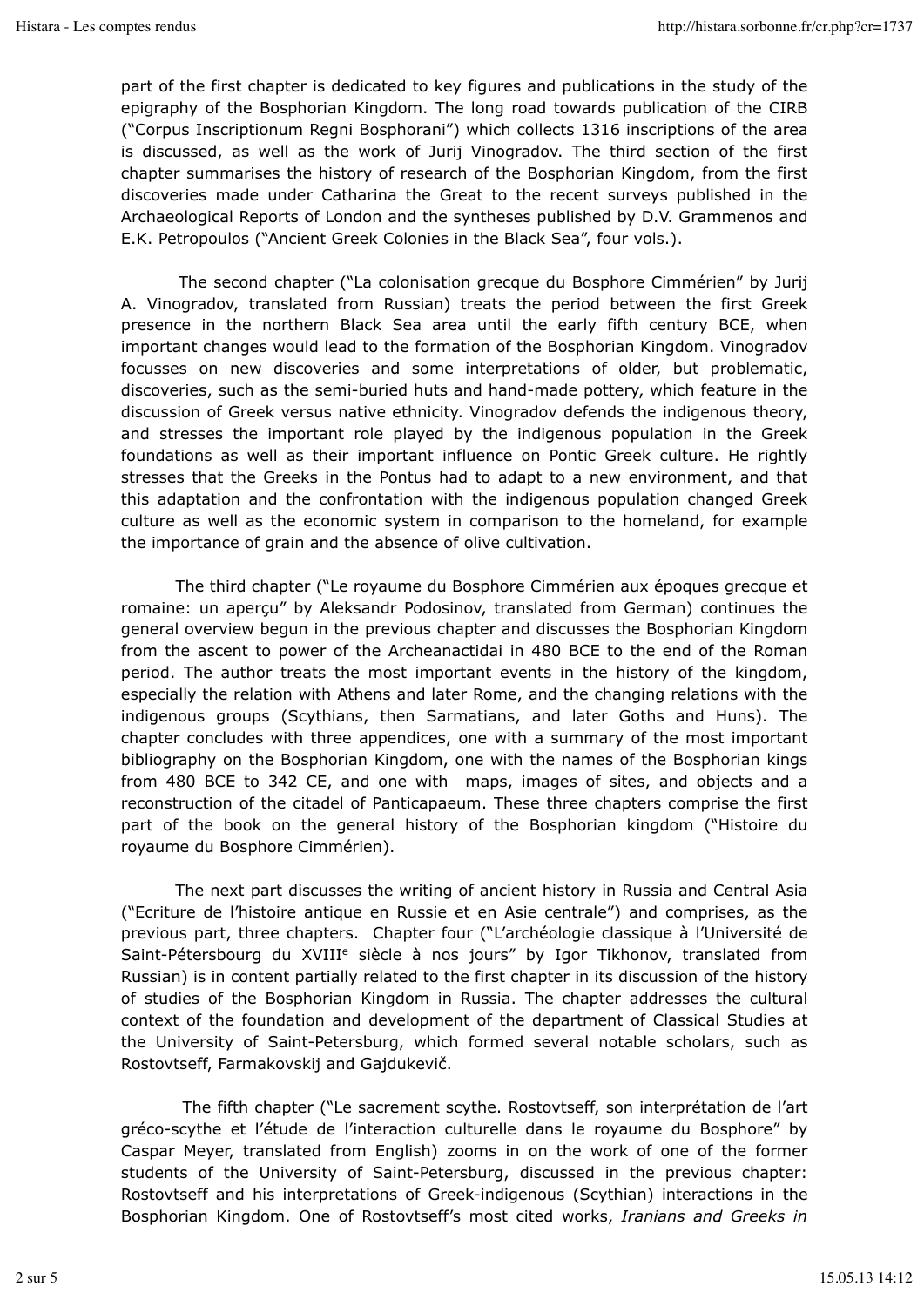part of the first chapter is dedicated to key figures and publications in the study of the epigraphy of the Bosphorian Kingdom. The long road towards publication of the CIRB ("Corpus Inscriptionum Regni Bosphorani") which collects 1316 inscriptions of the area is discussed, as well as the work of Jurij Vinogradov. The third section of the first chapter summarises the history of research of the Bosphorian Kingdom, from the first discoveries made under Catharina the Great to the recent surveys published in the Archaeological Reports of London and the syntheses published by D.V. Grammenos and E.K. Petropoulos ("Ancient Greek Colonies in the Black Sea", four vols.).

 The second chapter ("La colonisation grecque du Bosphore Cimmérien" by Jurij A. Vinogradov, translated from Russian) treats the period between the first Greek presence in the northern Black Sea area until the early fifth century BCE, when important changes would lead to the formation of the Bosphorian Kingdom. Vinogradov focusses on new discoveries and some interpretations of older, but problematic, discoveries, such as the semi-buried huts and hand-made pottery, which feature in the discussion of Greek versus native ethnicity. Vinogradov defends the indigenous theory, and stresses the important role played by the indigenous population in the Greek foundations as well as their important influence on Pontic Greek culture. He rightly stresses that the Greeks in the Pontus had to adapt to a new environment, and that this adaptation and the confrontation with the indigenous population changed Greek culture as well as the economic system in comparison to the homeland, for example the importance of grain and the absence of olive cultivation.

 The third chapter ("Le royaume du Bosphore Cimmérien aux époques grecque et romaine: un aperçu" by Aleksandr Podosinov, translated from German) continues the general overview begun in the previous chapter and discusses the Bosphorian Kingdom from the ascent to power of the Archeanactidai in 480 BCE to the end of the Roman period. The author treats the most important events in the history of the kingdom, especially the relation with Athens and later Rome, and the changing relations with the indigenous groups (Scythians, then Sarmatians, and later Goths and Huns). The chapter concludes with three appendices, one with a summary of the most important bibliography on the Bosphorian Kingdom, one with the names of the Bosphorian kings from 480 BCE to 342 CE, and one with maps, images of sites, and objects and a reconstruction of the citadel of Panticapaeum. These three chapters comprise the first part of the book on the general history of the Bosphorian kingdom ("Histoire du royaume du Bosphore Cimmérien).

 The next part discusses the writing of ancient history in Russia and Central Asia ("Ecriture de l'histoire antique en Russie et en Asie centrale") and comprises, as the previous part, three chapters. Chapter four ("L'archéologie classique à l'Université de Saint-Pétersbourg du XVIII<sup>e</sup> siècle à nos jours" by Igor Tikhonov, translated from Russian) is in content partially related to the first chapter in its discussion of the history of studies of the Bosphorian Kingdom in Russia. The chapter addresses the cultural context of the foundation and development of the department of Classical Studies at the University of Saint-Petersburg, which formed several notable scholars, such as Rostovtseff, Farmakovskij and Gajdukevič.

 The fifth chapter ("Le sacrement scythe. Rostovtseff, son interprétation de l'art gréco-scythe et l'étude de l'interaction culturelle dans le royaume du Bosphore" by Caspar Meyer, translated from English) zooms in on the work of one of the former students of the University of Saint-Petersburg, discussed in the previous chapter: Rostovtseff and his interpretations of Greek-indigenous (Scythian) interactions in the Bosphorian Kingdom. One of Rostovtseff's most cited works, *Iranians and Greeks in*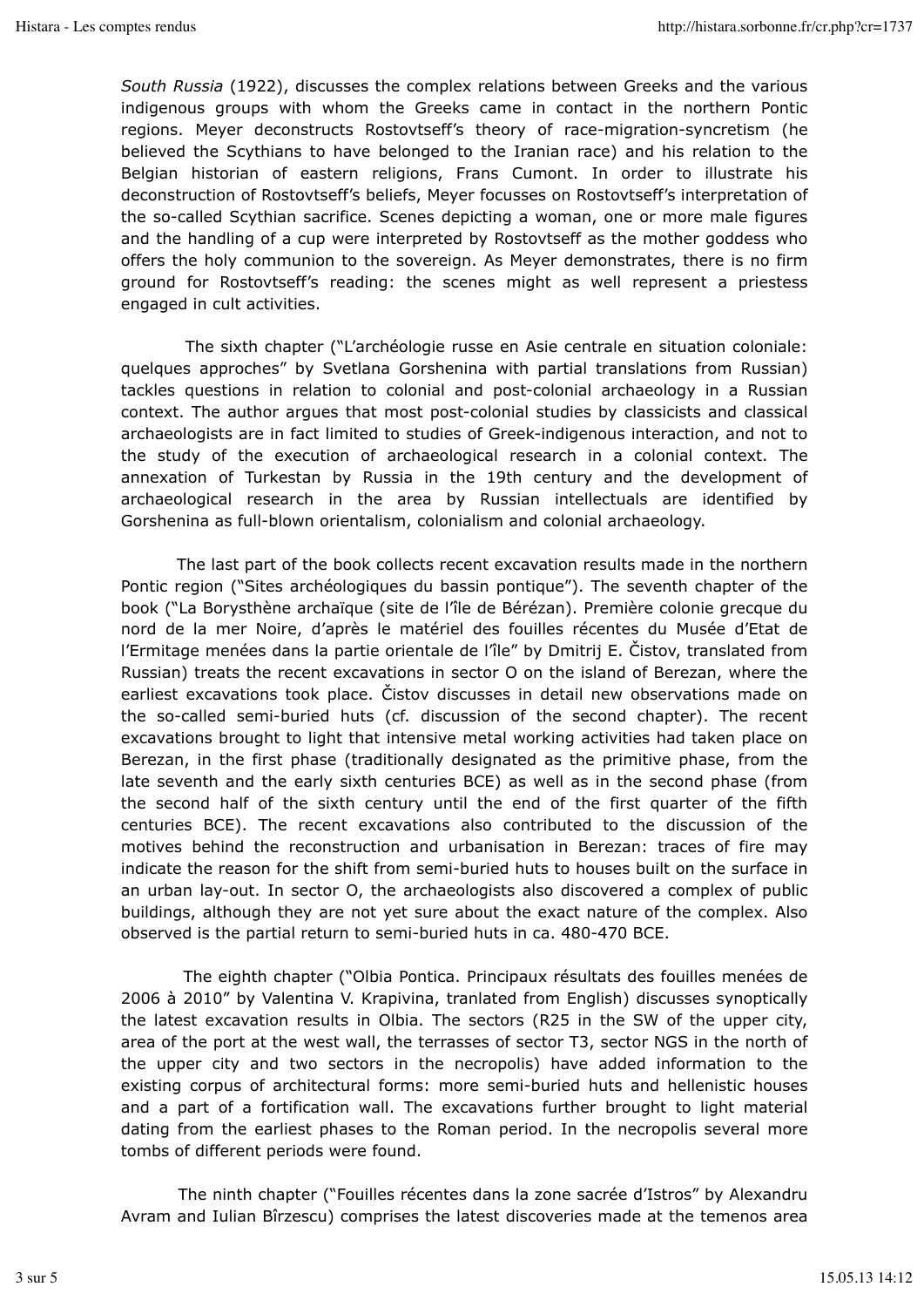*South Russia* (1922), discusses the complex relations between Greeks and the various indigenous groups with whom the Greeks came in contact in the northern Pontic regions. Meyer deconstructs Rostovtseff's theory of race-migration-syncretism (he believed the Scythians to have belonged to the Iranian race) and his relation to the Belgian historian of eastern religions, Frans Cumont. In order to illustrate his deconstruction of Rostovtseff's beliefs, Meyer focusses on Rostovtseff's interpretation of the so-called Scythian sacrifice. Scenes depicting a woman, one or more male figures and the handling of a cup were interpreted by Rostovtseff as the mother goddess who offers the holy communion to the sovereign. As Meyer demonstrates, there is no firm ground for Rostovtseff's reading: the scenes might as well represent a priestess engaged in cult activities.

 The sixth chapter ("L'archéologie russe en Asie centrale en situation coloniale: quelques approches" by Svetlana Gorshenina with partial translations from Russian) tackles questions in relation to colonial and post-colonial archaeology in a Russian context. The author argues that most post-colonial studies by classicists and classical archaeologists are in fact limited to studies of Greek-indigenous interaction, and not to the study of the execution of archaeological research in a colonial context. The annexation of Turkestan by Russia in the 19th century and the development of archaeological research in the area by Russian intellectuals are identified by Gorshenina as full-blown orientalism, colonialism and colonial archaeology.

 The last part of the book collects recent excavation results made in the northern Pontic region ("Sites archéologiques du bassin pontique"). The seventh chapter of the book ("La Borysthène archaïque (site de l'île de Bérézan). Première colonie grecque du nord de la mer Noire, d'après le matériel des fouilles récentes du Musée d'Etat de l'Ermitage menées dans la partie orientale de l'île" by Dmitrij E. Čistov, translated from Russian) treats the recent excavations in sector O on the island of Berezan, where the earliest excavations took place. Čistov discusses in detail new observations made on the so-called semi-buried huts (cf. discussion of the second chapter). The recent excavations brought to light that intensive metal working activities had taken place on Berezan, in the first phase (traditionally designated as the primitive phase, from the late seventh and the early sixth centuries BCE) as well as in the second phase (from the second half of the sixth century until the end of the first quarter of the fifth centuries BCE). The recent excavations also contributed to the discussion of the motives behind the reconstruction and urbanisation in Berezan: traces of fire may indicate the reason for the shift from semi-buried huts to houses built on the surface in an urban lay-out. In sector O, the archaeologists also discovered a complex of public buildings, although they are not yet sure about the exact nature of the complex. Also observed is the partial return to semi-buried huts in ca. 480-470 BCE.

 The eighth chapter ("Olbia Pontica. Principaux résultats des fouilles menées de 2006 à 2010" by Valentina V. Krapivina, tranlated from English) discusses synoptically the latest excavation results in Olbia. The sectors (R25 in the SW of the upper city, area of the port at the west wall, the terrasses of sector T3, sector NGS in the north of the upper city and two sectors in the necropolis) have added information to the existing corpus of architectural forms: more semi-buried huts and hellenistic houses and a part of a fortification wall. The excavations further brought to light material dating from the earliest phases to the Roman period. In the necropolis several more tombs of different periods were found.

 The ninth chapter ("Fouilles récentes dans la zone sacrée d'Istros" by Alexandru Avram and Iulian Bîrzescu) comprises the latest discoveries made at the temenos area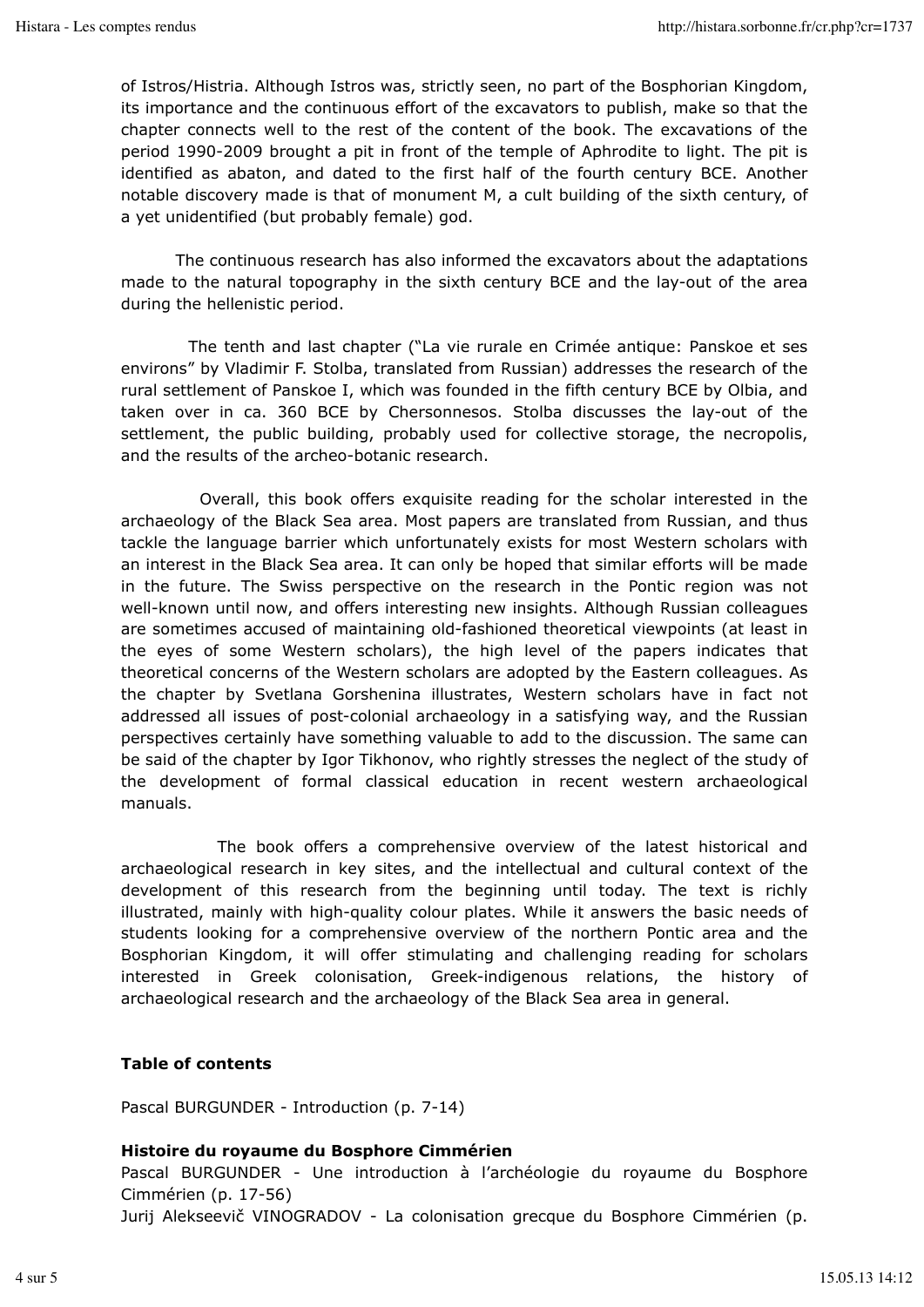of Istros/Histria. Although Istros was, strictly seen, no part of the Bosphorian Kingdom, its importance and the continuous effort of the excavators to publish, make so that the chapter connects well to the rest of the content of the book. The excavations of the period 1990-2009 brought a pit in front of the temple of Aphrodite to light. The pit is identified as abaton, and dated to the first half of the fourth century BCE. Another notable discovery made is that of monument M, a cult building of the sixth century, of a yet unidentified (but probably female) god.

 The continuous research has also informed the excavators about the adaptations made to the natural topography in the sixth century BCE and the lay-out of the area during the hellenistic period.

 The tenth and last chapter ("La vie rurale en Crimée antique: Panskoe et ses environs" by Vladimir F. Stolba, translated from Russian) addresses the research of the rural settlement of Panskoe I, which was founded in the fifth century BCE by Olbia, and taken over in ca. 360 BCE by Chersonnesos. Stolba discusses the lay-out of the settlement, the public building, probably used for collective storage, the necropolis, and the results of the archeo-botanic research.

 Overall, this book offers exquisite reading for the scholar interested in the archaeology of the Black Sea area. Most papers are translated from Russian, and thus tackle the language barrier which unfortunately exists for most Western scholars with an interest in the Black Sea area. It can only be hoped that similar efforts will be made in the future. The Swiss perspective on the research in the Pontic region was not well-known until now, and offers interesting new insights. Although Russian colleagues are sometimes accused of maintaining old-fashioned theoretical viewpoints (at least in the eyes of some Western scholars), the high level of the papers indicates that theoretical concerns of the Western scholars are adopted by the Eastern colleagues. As the chapter by Svetlana Gorshenina illustrates, Western scholars have in fact not addressed all issues of post-colonial archaeology in a satisfying way, and the Russian perspectives certainly have something valuable to add to the discussion. The same can be said of the chapter by Igor Tikhonov, who rightly stresses the neglect of the study of the development of formal classical education in recent western archaeological manuals.

 The book offers a comprehensive overview of the latest historical and archaeological research in key sites, and the intellectual and cultural context of the development of this research from the beginning until today. The text is richly illustrated, mainly with high-quality colour plates. While it answers the basic needs of students looking for a comprehensive overview of the northern Pontic area and the Bosphorian Kingdom, it will offer stimulating and challenging reading for scholars interested in Greek colonisation, Greek-indigenous relations, the history of archaeological research and the archaeology of the Black Sea area in general.

## **Table of contents**

Pascal BURGUNDER - Introduction (p. 7-14)

#### **Histoire du royaume du Bosphore Cimmérien**

Pascal BURGUNDER - Une introduction à l'archéologie du royaume du Bosphore Cimmérien (p. 17-56)

Jurij Alekseevič VINOGRADOV - La colonisation grecque du Bosphore Cimmérien (p.